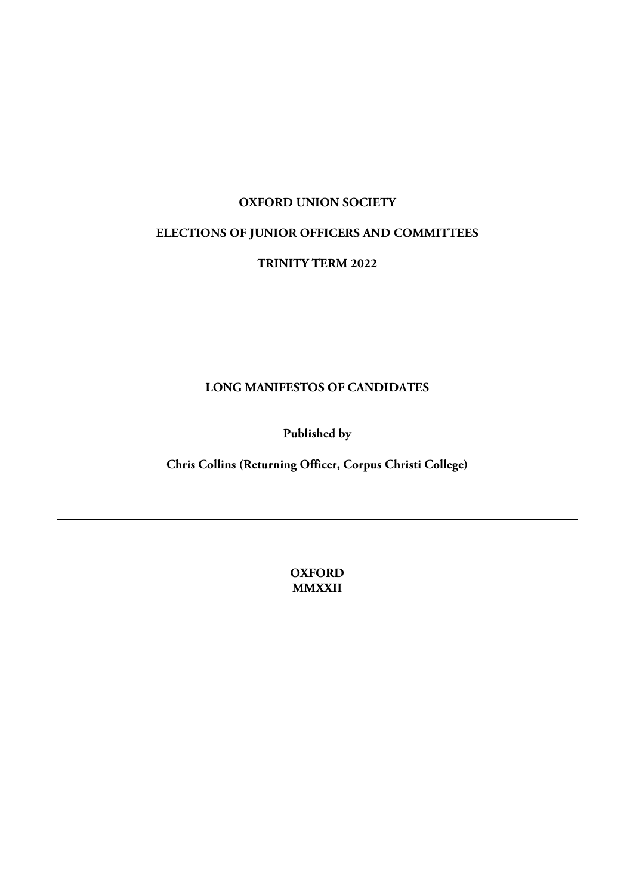#### **OXFORD UNION SOCIETY**

# **ELECTIONS OF JUNIOR OFFICERS AND COMMITTEES**

### **TRINITY TERM 2022**

#### **LONG MANIFESTOS OF CANDIDATES**

**Published by**

**Chris Collins (Returning Officer, Corpus Christi College)**

**OXFORD MMXXII**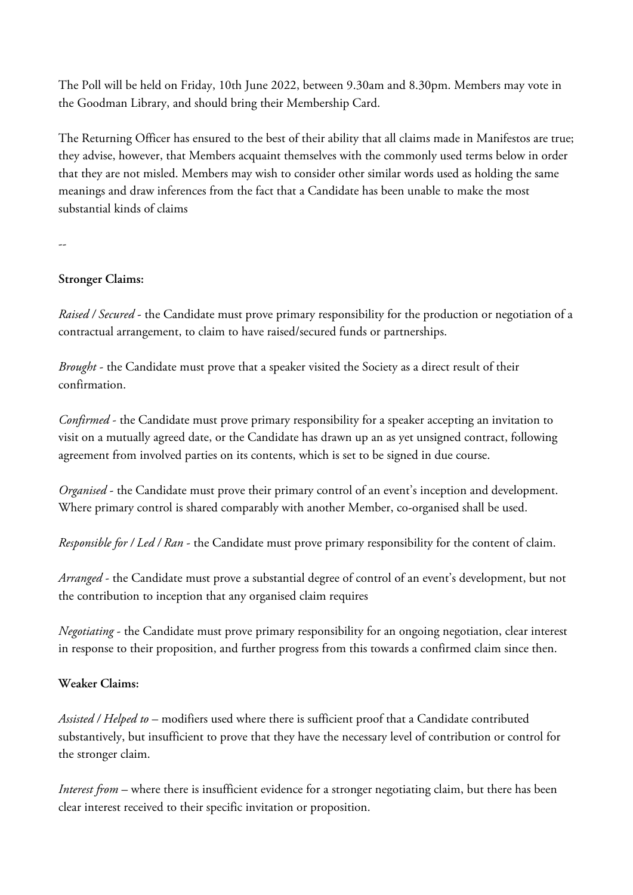The Poll will be held on Friday, 10th June 2022, between 9.30am and 8.30pm. Members may vote in the Goodman Library, and should bring their Membership Card.

The Returning Officer has ensured to the best of their ability that all claims made in Manifestos are true; they advise, however, that Members acquaint themselves with the commonly used terms below in order that they are not misled. Members may wish to consider other similar words used as holding the same meanings and draw inferences from the fact that a Candidate has been unable to make the most substantial kinds of claims

--

#### **Stronger Claims:**

*Raised / Secured* - the Candidate must prove primary responsibility for the production or negotiation of a contractual arrangement, to claim to have raised/secured funds or partnerships.

*Brought* - the Candidate must prove that a speaker visited the Society as a direct result of their confirmation.

*Confirmed* - the Candidate must prove primary responsibility for a speaker accepting an invitation to visit on a mutually agreed date, or the Candidate has drawn up an as yet unsigned contract, following agreement from involved parties on its contents, which is set to be signed in due course.

*Organised* - the Candidate must prove their primary control of an event's inception and development. Where primary control is shared comparably with another Member, co-organised shall be used.

*Responsible for / Led / Ran* - the Candidate must prove primary responsibility for the content of claim.

*Arranged* - the Candidate must prove a substantial degree of control of an event's development, but not the contribution to inception that any organised claim requires

*Negotiating* - the Candidate must prove primary responsibility for an ongoing negotiation, clear interest in response to their proposition, and further progress from this towards a confirmed claim since then.

#### **Weaker Claims:**

*Assisted / Helped to* – modifiers used where there is sufficient proof that a Candidate contributed substantively, but insufficient to prove that they have the necessary level of contribution or control for the stronger claim.

*Interest from* – where there is insufficient evidence for a stronger negotiating claim, but there has been clear interest received to their specific invitation or proposition.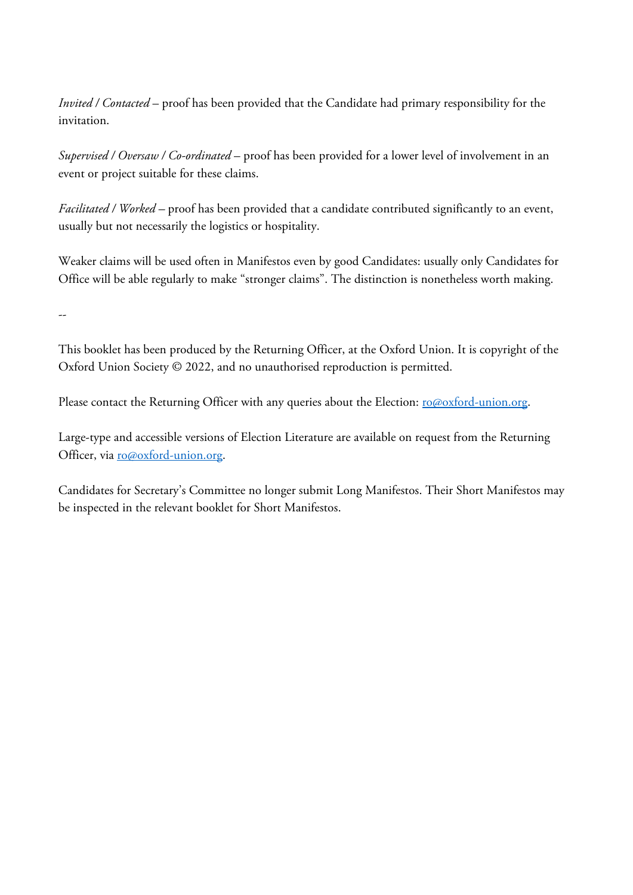*Invited / Contacted* – proof has been provided that the Candidate had primary responsibility for the invitation.

*Supervised / Oversaw / Co-ordinated* – proof has been provided for a lower level of involvement in an event or project suitable for these claims.

*Facilitated / Worked –* proof has been provided that a candidate contributed significantly to an event, usually but not necessarily the logistics or hospitality.

Weaker claims will be used often in Manifestos even by good Candidates: usually only Candidates for Office will be able regularly to make "stronger claims". The distinction is nonetheless worth making.

--

This booklet has been produced by the Returning Officer, at the Oxford Union. It is copyright of the Oxford Union Society © 2022, and no unauthorised reproduction is permitted.

Please contact the Returning Officer with any queries about the Election: ro@oxford-union.org.

Large-type and accessible versions of Election Literature are available on request from the Returning Officer, via ro@oxford-union.org.

Candidates for Secretary's Committee no longer submit Long Manifestos. Their Short Manifestos may be inspected in the relevant booklet for Short Manifestos.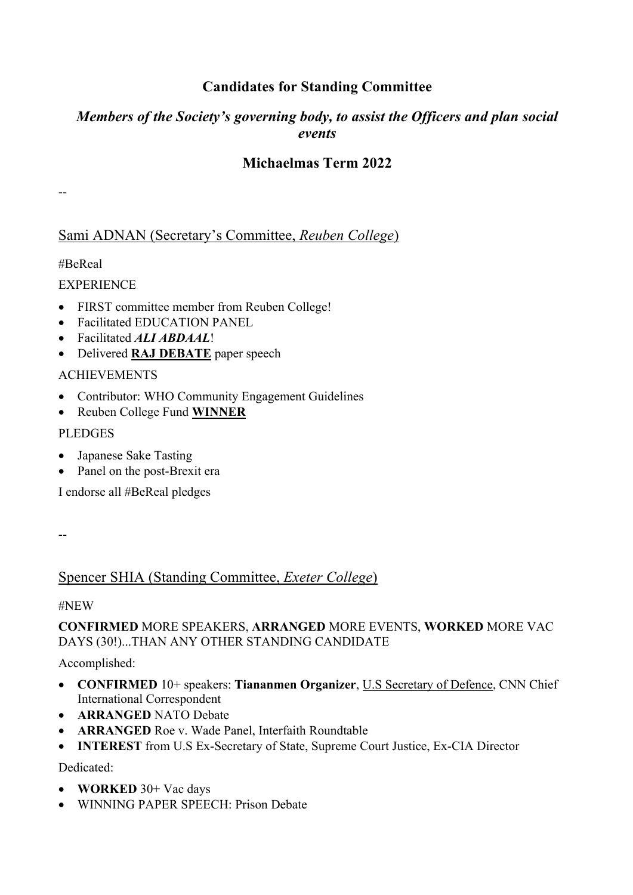# **Candidates for Standing Committee**

# *Members of the Society's governing body, to assist the Officers and plan social events*

# **Michaelmas Term 2022**

--

# Sami ADNAN (Secretary's Committee, *Reuben College*)

#BeReal

**EXPERIENCE** 

- FIRST committee member from Reuben College!
- Facilitated EDUCATION PANEL
- Facilitated *ALI ABDAAL*!
- Delivered **RAJ DEBATE** paper speech

### ACHIEVEMENTS

- Contributor: WHO Community Engagement Guidelines
- Reuben College Fund **WINNER**

### PLEDGES

- Japanese Sake Tasting
- Panel on the post-Brexit era

I endorse all #BeReal pledges

# Spencer SHIA (Standing Committee, *Exeter College*)

#NEW

### **CONFIRMED** MORE SPEAKERS, **ARRANGED** MORE EVENTS, **WORKED** MORE VAC DAYS (30!)...THAN ANY OTHER STANDING CANDIDATE

Accomplished:

- **CONFIRMED** 10+ speakers: **Tiananmen Organizer**, U.S Secretary of Defence, CNN Chief International Correspondent
- **ARRANGED** NATO Debate
- **ARRANGED** Roe v. Wade Panel, Interfaith Roundtable
- **INTEREST** from U.S Ex-Secretary of State, Supreme Court Justice, Ex-CIA Director

Dedicated:

- **WORKED** 30+ Vac days
- WINNING PAPER SPEECH: Prison Debate

<sup>--</sup>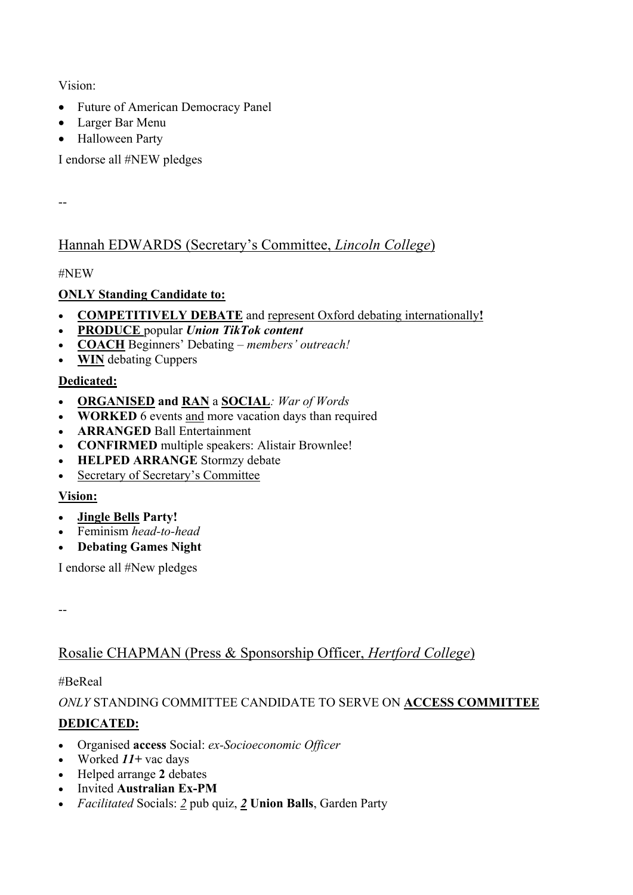Vision:

- Future of American Democracy Panel
- Larger Bar Menu
- Halloween Party

I endorse all #NEW pledges

--

# Hannah EDWARDS (Secretary's Committee, *Lincoln College*)

#NEW

## **ONLY Standing Candidate to:**

- **COMPETITIVELY DEBATE** and represent Oxford debating internationally**!**
- **PRODUCE** popular *Union TikTok content*
- **COACH** Beginners' Debating *members' outreach!*
- **WIN** debating Cuppers

## **Dedicated:**

- **ORGANISED and RAN** a **SOCIAL***: War of Words*
- **WORKED** 6 events and more vacation days than required
- **ARRANGED** Ball Entertainment
- **CONFIRMED** multiple speakers: Alistair Brownlee!
- **HELPED ARRANGE** Stormzy debate
- Secretary of Secretary's Committee

## **Vision:**

- **Jingle Bells Party!**
- Feminism *head-to-head*
- **Debating Games Night**

I endorse all #New pledges

--

# Rosalie CHAPMAN (Press & Sponsorship Officer, *Hertford College*)

### #BeReal

## *ONLY* STANDING COMMITTEE CANDIDATE TO SERVE ON **ACCESS COMMITTEE**

## **DEDICATED:**

- Organised **access** Social: *ex-Socioeconomic Officer*
- Worked *11+* vac days
- Helped arrange **2** debates
- Invited **Australian Ex-PM**
- *Facilitated* Socials: *2* pub quiz, *2* **Union Balls**, Garden Party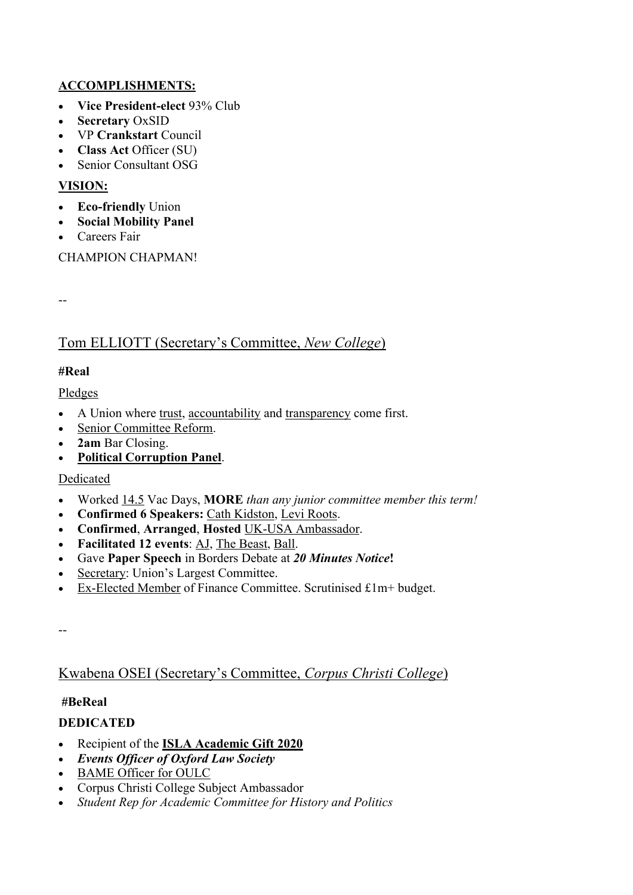### **ACCOMPLISHMENTS:**

- **Vice President-elect** 93% Club
- **Secretary** OxSID
- VP **Crankstart** Council
- **Class Act** Officer (SU)
- Senior Consultant OSG

#### **VISION:**

- **Eco-friendly** Union
- **Social Mobility Panel**
- Careers Fair

CHAMPION CHAPMAN!

--

# Tom ELLIOTT (Secretary's Committee, *New College*)

### **#Real**

Pledges

- A Union where trust, accountability and transparency come first.
- Senior Committee Reform.
- **2am** Bar Closing.
- **Political Corruption Panel**.

### Dedicated

- Worked 14.5 Vac Days, **MORE** *than any junior committee member this term!*
- **Confirmed 6 Speakers:** Cath Kidston, Levi Roots.
- **Confirmed**, **Arranged**, **Hosted** UK-USA Ambassador.
- **Facilitated 12 events**: AJ, The Beast, Ball.
- Gave **Paper Speech** in Borders Debate at *20 Minutes Notice***!**
- Secretary: Union's Largest Committee.
- Ex-Elected Member of Finance Committee. Scrutinised £1m+ budget.

--

## Kwabena OSEI (Secretary's Committee, *Corpus Christi College*)

### **#BeReal**

### **DEDICATED**

- Recipient of the **ISLA Academic Gift 2020**
- *Events Officer of Oxford Law Society*
- BAME Officer for OULC
- Corpus Christi College Subject Ambassador
- *Student Rep for Academic Committee for History and Politics*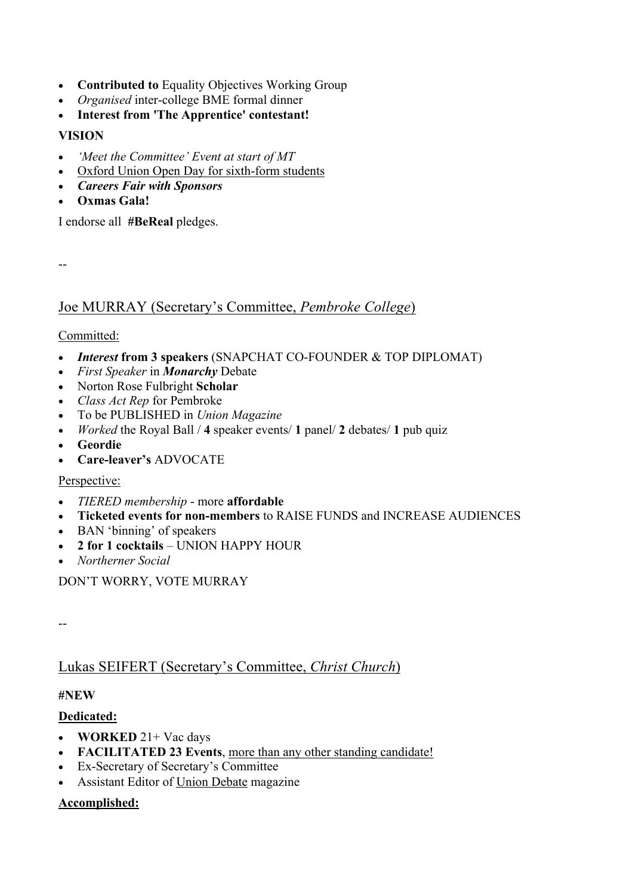- **Contributed to** Equality Objectives Working Group
- *Organised* inter-college BME formal dinner
- **Interest from 'The Apprentice' contestant!**

#### **VISION**

- *'Meet the Committee' Event at start of MT*
- Oxford Union Open Day for sixth-form students
- *Careers Fair with Sponsors*
- **Oxmas Gala!**

I endorse all **#BeReal** pledges.

--

### Joe MURRAY (Secretary's Committee, *Pembroke College*)

#### Committed:

- *Interest* **from 3 speakers** (SNAPCHAT CO-FOUNDER & TOP DIPLOMAT)
- *First Speaker* in *Monarchy* Debate
- Norton Rose Fulbright **Scholar**
- *Class Act Rep* for Pembroke
- To be PUBLISHED in *Union Magazine*
- *Worked* the Royal Ball / **4** speaker events/ **1** panel/ **2** debates/ **1** pub quiz
- **Geordie**
- **Care-leaver's** ADVOCATE

#### Perspective:

- *TIERED membership* more **affordable**
- **Ticketed events for non-members** to RAISE FUNDS and INCREASE AUDIENCES
- BAN 'binning' of speakers
- **2 for 1 cocktails** UNION HAPPY HOUR
- *Northerner Social*

DON'T WORRY, VOTE MURRAY

--

## Lukas SEIFERT (Secretary's Committee, *Christ Church*)

#### **#NEW**

### **Dedicated:**

- **WORKED** 21+ Vac days
- **FACILITATED 23 Events**, more than any other standing candidate!
- Ex-Secretary of Secretary's Committee
- Assistant Editor of Union Debate magazine

### **Accomplished:**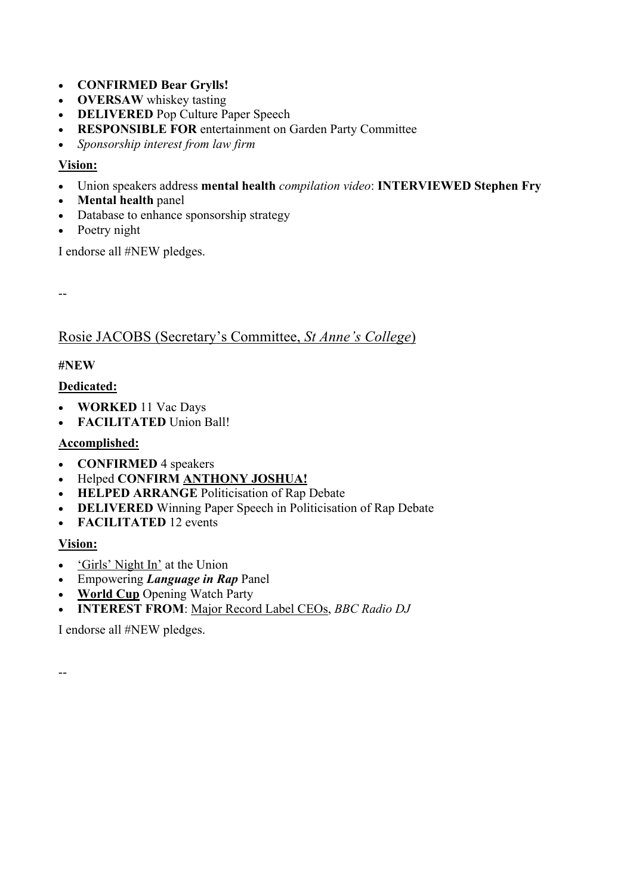- **CONFIRMED Bear Grylls!**
- **OVERSAW** whiskey tasting
- **DELIVERED** Pop Culture Paper Speech
- **RESPONSIBLE FOR** entertainment on Garden Party Committee
- *Sponsorship interest from law firm*

#### **Vision:**

- Union speakers address **mental health** *compilation video*: **INTERVIEWED Stephen Fry**
- **Mental health** panel
- Database to enhance sponsorship strategy
- Poetry night

I endorse all #NEW pledges.

--

### Rosie JACOBS (Secretary's Committee, *St Anne's College*)

#### **#NEW**

### **Dedicated:**

- **WORKED** 11 Vac Days
- **FACILITATED** Union Ball!

### **Accomplished:**

- **CONFIRMED** 4 speakers
- Helped **CONFIRM ANTHONY JOSHUA!**
- **HELPED ARRANGE** Politicisation of Rap Debate
- **DELIVERED** Winning Paper Speech in Politicisation of Rap Debate
- **FACILITATED** 12 events

#### **Vision:**

- 'Girls' Night In' at the Union
- Empowering *Language in Rap* Panel
- **World Cup** Opening Watch Party
- **INTEREST FROM**: Major Record Label CEOs, *BBC Radio DJ*

I endorse all #NEW pledges.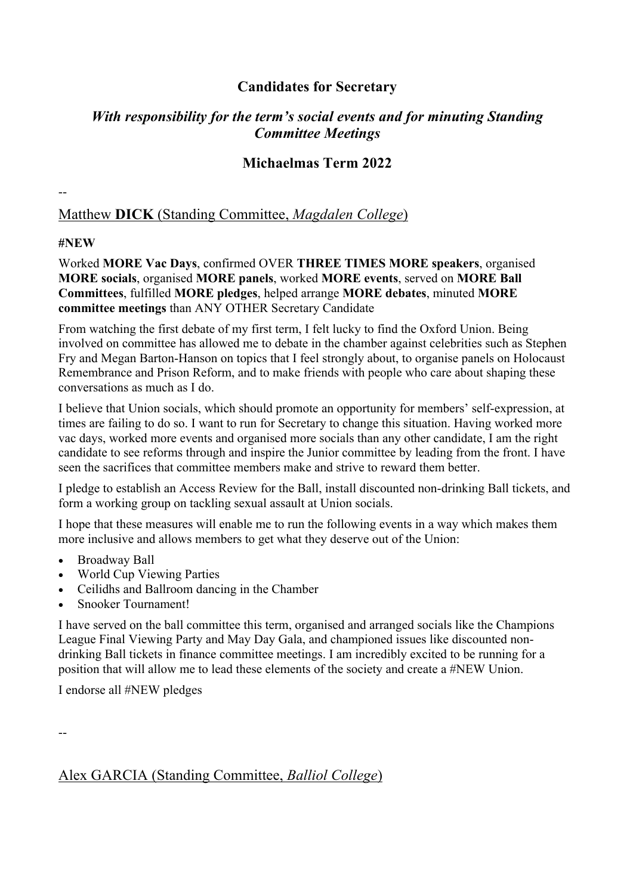## **Candidates for Secretary**

## *With responsibility for the term's social events and for minuting Standing Committee Meetings*

## **Michaelmas Term 2022**

## Matthew **DICK** (Standing Committee, *Magdalen College*)

#### **#NEW**

--

Worked **MORE Vac Days**, confirmed OVER **THREE TIMES MORE speakers**, organised **MORE socials**, organised **MORE panels**, worked **MORE events**, served on **MORE Ball Committees**, fulfilled **MORE pledges**, helped arrange **MORE debates**, minuted **MORE committee meetings** than ANY OTHER Secretary Candidate

From watching the first debate of my first term, I felt lucky to find the Oxford Union. Being involved on committee has allowed me to debate in the chamber against celebrities such as Stephen Fry and Megan Barton-Hanson on topics that I feel strongly about, to organise panels on Holocaust Remembrance and Prison Reform, and to make friends with people who care about shaping these conversations as much as I do.

I believe that Union socials, which should promote an opportunity for members' self-expression, at times are failing to do so. I want to run for Secretary to change this situation. Having worked more vac days, worked more events and organised more socials than any other candidate, I am the right candidate to see reforms through and inspire the Junior committee by leading from the front. I have seen the sacrifices that committee members make and strive to reward them better.

I pledge to establish an Access Review for the Ball, install discounted non-drinking Ball tickets, and form a working group on tackling sexual assault at Union socials.

I hope that these measures will enable me to run the following events in a way which makes them more inclusive and allows members to get what they deserve out of the Union:

- Broadway Ball
- World Cup Viewing Parties
- Ceilidhs and Ballroom dancing in the Chamber
- Snooker Tournament!

I have served on the ball committee this term, organised and arranged socials like the Champions League Final Viewing Party and May Day Gala, and championed issues like discounted nondrinking Ball tickets in finance committee meetings. I am incredibly excited to be running for a position that will allow me to lead these elements of the society and create a #NEW Union.

I endorse all #NEW pledges

--

# Alex GARCIA (Standing Committee, *Balliol College*)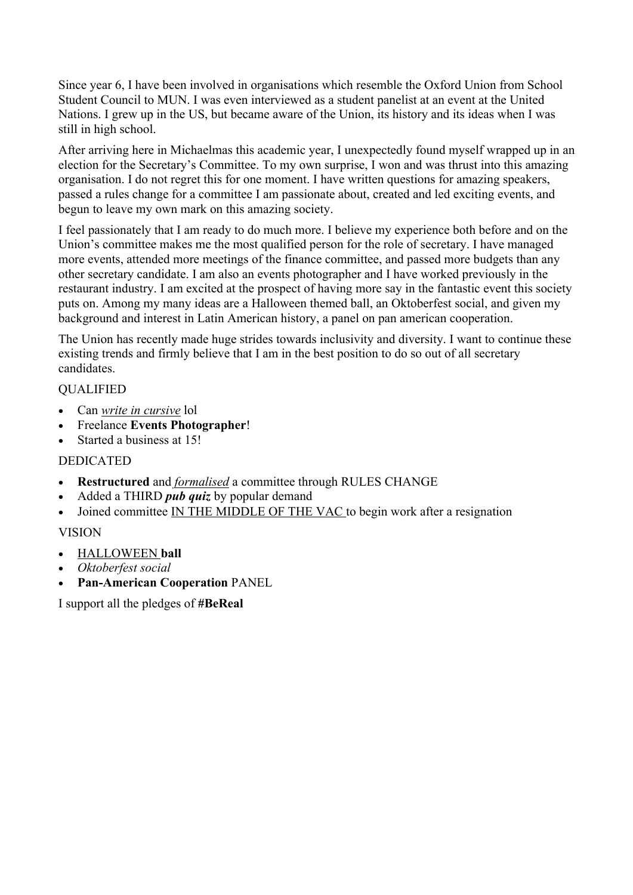Since year 6, I have been involved in organisations which resemble the Oxford Union from School Student Council to MUN. I was even interviewed as a student panelist at an event at the United Nations. I grew up in the US, but became aware of the Union, its history and its ideas when I was still in high school.

After arriving here in Michaelmas this academic year, I unexpectedly found myself wrapped up in an election for the Secretary's Committee. To my own surprise, I won and was thrust into this amazing organisation. I do not regret this for one moment. I have written questions for amazing speakers, passed a rules change for a committee I am passionate about, created and led exciting events, and begun to leave my own mark on this amazing society.

I feel passionately that I am ready to do much more. I believe my experience both before and on the Union's committee makes me the most qualified person for the role of secretary. I have managed more events, attended more meetings of the finance committee, and passed more budgets than any other secretary candidate. I am also an events photographer and I have worked previously in the restaurant industry. I am excited at the prospect of having more say in the fantastic event this society puts on. Among my many ideas are a Halloween themed ball, an Oktoberfest social, and given my background and interest in Latin American history, a panel on pan american cooperation.

The Union has recently made huge strides towards inclusivity and diversity. I want to continue these existing trends and firmly believe that I am in the best position to do so out of all secretary candidates.

#### QUALIFIED

- Can *write in cursive* lol
- Freelance **Events Photographer**!
- Started a business at 15!

#### DEDICATED

- **Restructured** and *formalised* a committee through RULES CHANGE
- Added a THIRD *pub quiz* by popular demand
- Joined committee IN THE MIDDLE OF THE VAC to begin work after a resignation

### VISION

- HALLOWEEN **ball**
- *Oktoberfest social*
- **Pan-American Cooperation** PANEL

I support all the pledges of **#BeReal**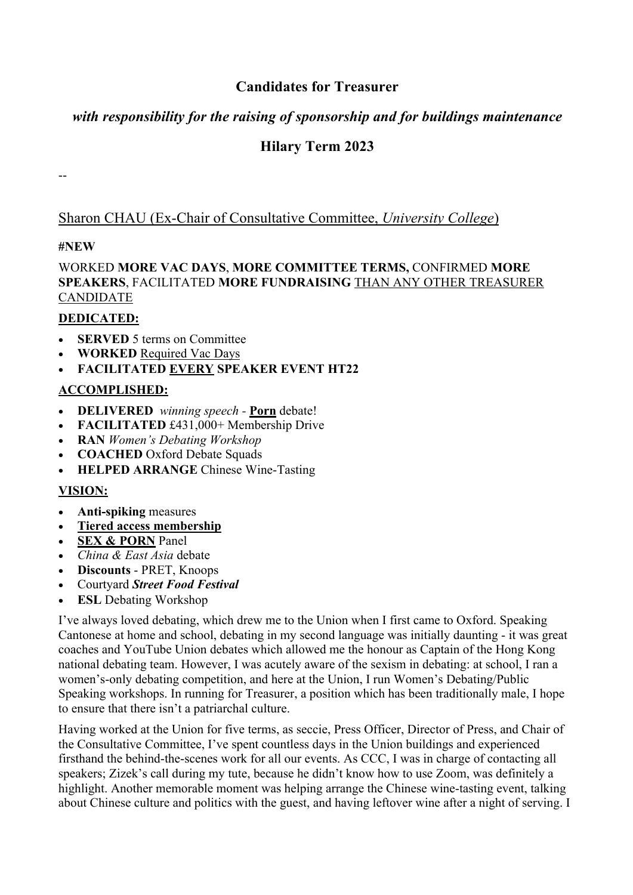## **Candidates for Treasurer**

## *with responsibility for the raising of sponsorship and for buildings maintenance*

# **Hilary Term 2023**

--

## Sharon CHAU (Ex-Chair of Consultative Committee, *University College*)

### **#NEW**

WORKED **MORE VAC DAYS**, **MORE COMMITTEE TERMS,** CONFIRMED **MORE SPEAKERS**, FACILITATED **MORE FUNDRAISING** THAN ANY OTHER TREASURER CANDIDATE

### **DEDICATED:**

- **SERVED** 5 terms on Committee
- **WORKED** Required Vac Days
- **FACILITATED EVERY SPEAKER EVENT HT22**

### **ACCOMPLISHED:**

- **DELIVERED** *winning speech -* **Porn** debate!
- **FACILITATED** £431,000+ Membership Drive
- **RAN** *Women's Debating Workshop*
- **COACHED** Oxford Debate Squads
- **HELPED ARRANGE** Chinese Wine-Tasting

### **VISION:**

- **Anti-spiking** measures
- **Tiered access membership**
- **SEX & PORN** Panel
- *China & East Asia* debate
- **Discounts** PRET, Knoops
- Courtyard *Street Food Festival*
- **ESL** Debating Workshop

I've always loved debating, which drew me to the Union when I first came to Oxford. Speaking Cantonese at home and school, debating in my second language was initially daunting - it was great coaches and YouTube Union debates which allowed me the honour as Captain of the Hong Kong national debating team. However, I was acutely aware of the sexism in debating: at school, I ran a women's-only debating competition, and here at the Union, I run Women's Debating/Public Speaking workshops. In running for Treasurer, a position which has been traditionally male, I hope to ensure that there isn't a patriarchal culture.

Having worked at the Union for five terms, as seccie, Press Officer, Director of Press, and Chair of the Consultative Committee, I've spent countless days in the Union buildings and experienced firsthand the behind-the-scenes work for all our events. As CCC, I was in charge of contacting all speakers; Zizek's call during my tute, because he didn't know how to use Zoom, was definitely a highlight. Another memorable moment was helping arrange the Chinese wine-tasting event, talking about Chinese culture and politics with the guest, and having leftover wine after a night of serving. I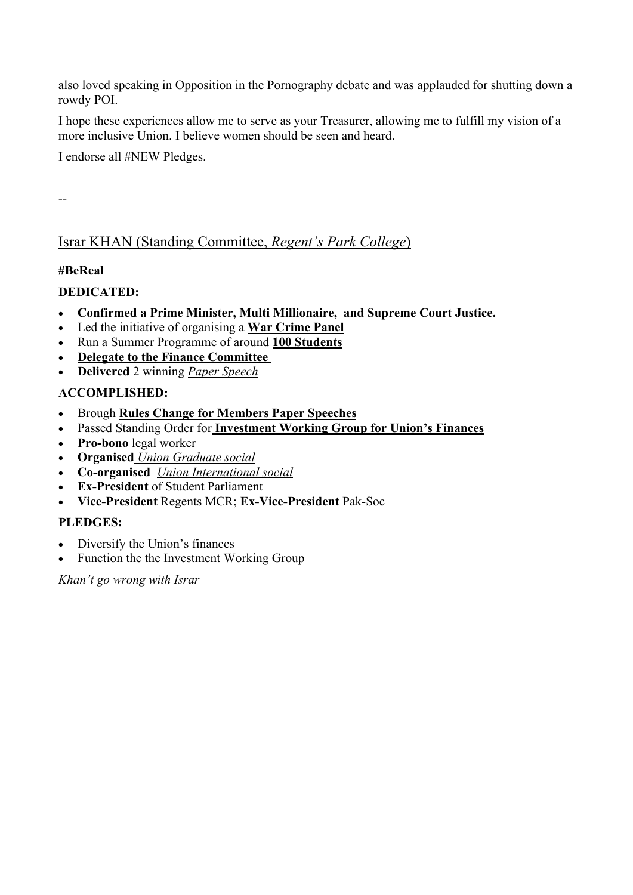also loved speaking in Opposition in the Pornography debate and was applauded for shutting down a rowdy POI.

I hope these experiences allow me to serve as your Treasurer, allowing me to fulfill my vision of a more inclusive Union. I believe women should be seen and heard.

I endorse all #NEW Pledges.

--

# Israr KHAN (Standing Committee, *Regent's Park College*)

### **#BeReal**

### **DEDICATED:**

- **Confirmed a Prime Minister, Multi Millionaire, and Supreme Court Justice.**
- Led the initiative of organising a **War Crime Panel**
- Run a Summer Programme of around **100 Students**
- **Delegate to the Finance Committee**
- **Delivered** 2 winning *Paper Speech*

### **ACCOMPLISHED:**

- Brough **Rules Change for Members Paper Speeches**
- Passed Standing Order for **Investment Working Group for Union's Finances**
- **Pro-bono** legal worker
- **Organised** *Union Graduate social*
- **Co-organised** *Union International social*
- **Ex-President** of Student Parliament
- **Vice-President** Regents MCR; **Ex-Vice-President** Pak-Soc

### **PLEDGES:**

- Diversify the Union's finances
- Function the the Investment Working Group

*Khan't go wrong with Israr*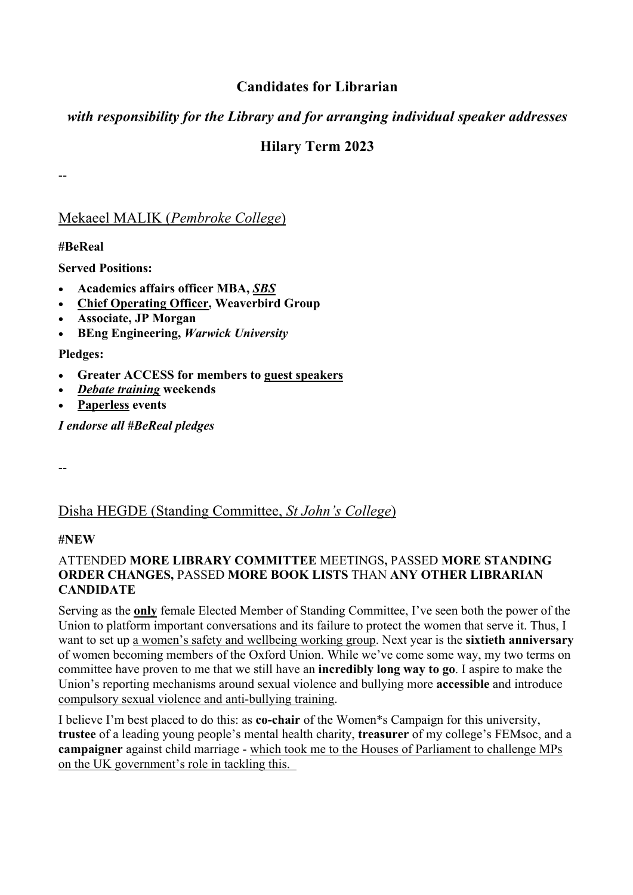## **Candidates for Librarian**

## *with responsibility for the Library and for arranging individual speaker addresses*

# **Hilary Term 2023**

Mekaeel MALIK (*Pembroke College*)

**#BeReal**

--

**Served Positions:**

- **Academics affairs officer MBA,** *SBS*
- **Chief Operating Officer, Weaverbird Group**
- **Associate, JP Morgan**
- **BEng Engineering,** *Warwick University*

**Pledges:**

- **Greater ACCESS for members to guest speakers**
- *Debate training* **weekends**
- **Paperless events**

*I endorse all #BeReal pledges*

--

# Disha HEGDE (Standing Committee, *St John's College*)

#### **#NEW**

#### ATTENDED **MORE LIBRARY COMMITTEE** MEETINGS**,** PASSED **MORE STANDING ORDER CHANGES,** PASSED **MORE BOOK LISTS** THAN **ANY OTHER LIBRARIAN CANDIDATE**

Serving as the **only** female Elected Member of Standing Committee, I've seen both the power of the Union to platform important conversations and its failure to protect the women that serve it. Thus, I want to set up a women's safety and wellbeing working group. Next year is the **sixtieth anniversary**  of women becoming members of the Oxford Union. While we've come some way, my two terms on committee have proven to me that we still have an **incredibly long way to go**. I aspire to make the Union's reporting mechanisms around sexual violence and bullying more **accessible** and introduce compulsory sexual violence and anti-bullying training.

I believe I'm best placed to do this: as **co-chair** of the Women\*s Campaign for this university, **trustee** of a leading young people's mental health charity, **treasurer** of my college's FEMsoc, and a **campaigner** against child marriage - which took me to the Houses of Parliament to challenge MPs on the UK government's role in tackling this.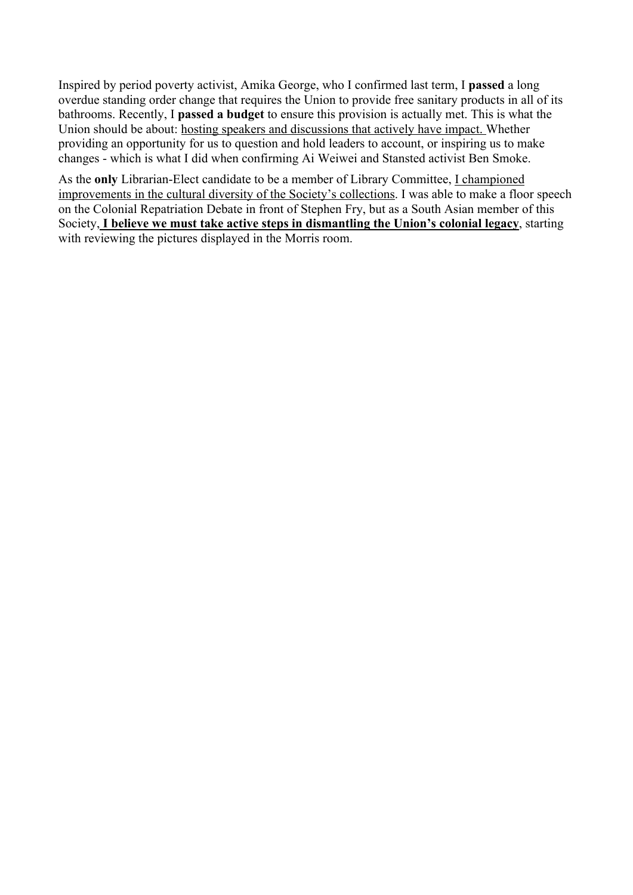Inspired by period poverty activist, Amika George, who I confirmed last term, I **passed** a long overdue standing order change that requires the Union to provide free sanitary products in all of its bathrooms. Recently, I **passed a budget** to ensure this provision is actually met. This is what the Union should be about: hosting speakers and discussions that actively have impact. Whether providing an opportunity for us to question and hold leaders to account, or inspiring us to make changes - which is what I did when confirming Ai Weiwei and Stansted activist Ben Smoke.

As the **only** Librarian-Elect candidate to be a member of Library Committee, I championed improvements in the cultural diversity of the Society's collections. I was able to make a floor speech on the Colonial Repatriation Debate in front of Stephen Fry, but as a South Asian member of this Society, **I believe we must take active steps in dismantling the Union's colonial legacy**, starting with reviewing the pictures displayed in the Morris room.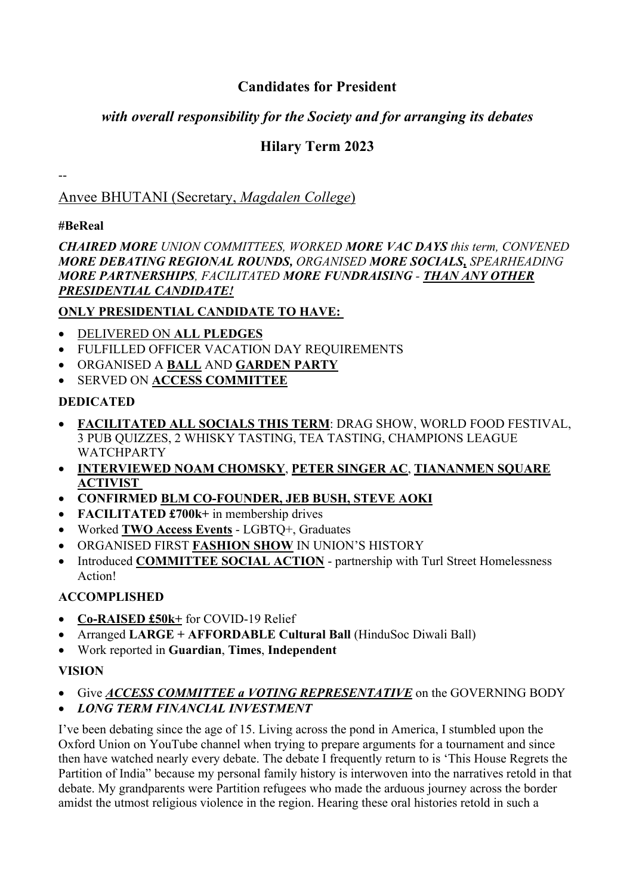# **Candidates for President**

# *with overall responsibility for the Society and for arranging its debates*

# **Hilary Term 2023**

Anvee BHUTANI (Secretary, *Magdalen College*)

## **#BeReal**

--

*CHAIRED MORE UNION COMMITTEES, WORKED MORE VAC DAYS this term, CONVENED MORE DEBATING REGIONAL ROUNDS, ORGANISED MORE SOCIALS, SPEARHEADING MORE PARTNERSHIPS, FACILITATED MORE FUNDRAISING - THAN ANY OTHER PRESIDENTIAL CANDIDATE!*

## **ONLY PRESIDENTIAL CANDIDATE TO HAVE:**

- DELIVERED ON **ALL PLEDGES**
- FULFILLED OFFICER VACATION DAY REQUIREMENTS
- ORGANISED A **BALL** AND **GARDEN PARTY**
- SERVED ON **ACCESS COMMITTEE**

# **DEDICATED**

- **FACILITATED ALL SOCIALS THIS TERM**: DRAG SHOW, WORLD FOOD FESTIVAL, 3 PUB QUIZZES, 2 WHISKY TASTING, TEA TASTING, CHAMPIONS LEAGUE **WATCHPARTY**
- **INTERVIEWED NOAM CHOMSKY**, **PETER SINGER AC**, **TIANANMEN SQUARE ACTIVIST**
- **CONFIRMED BLM CO-FOUNDER, JEB BUSH, STEVE AOKI**
- **FACILITATED £700k**+ in membership drives
- Worked **TWO Access Events** LGBTQ+, Graduates
- ORGANISED FIRST **FASHION SHOW** IN UNION'S HISTORY
- Introduced **COMMITTEE SOCIAL ACTION** partnership with Turl Street Homelessness Action!

# **ACCOMPLISHED**

- **Co-RAISED £50k+** for COVID-19 Relief
- Arranged **LARGE + AFFORDABLE Cultural Ball** (HinduSoc Diwali Ball)
- Work reported in **Guardian**, **Times**, **Independent**

## **VISION**

- Give *ACCESS COMMITTEE a VOTING REPRESENTATIVE* on the GOVERNING BODY
- *LONG TERM FINANCIAL INVESTMENT*

I've been debating since the age of 15. Living across the pond in America, I stumbled upon the Oxford Union on YouTube channel when trying to prepare arguments for a tournament and since then have watched nearly every debate. The debate I frequently return to is 'This House Regrets the Partition of India" because my personal family history is interwoven into the narratives retold in that debate. My grandparents were Partition refugees who made the arduous journey across the border amidst the utmost religious violence in the region. Hearing these oral histories retold in such a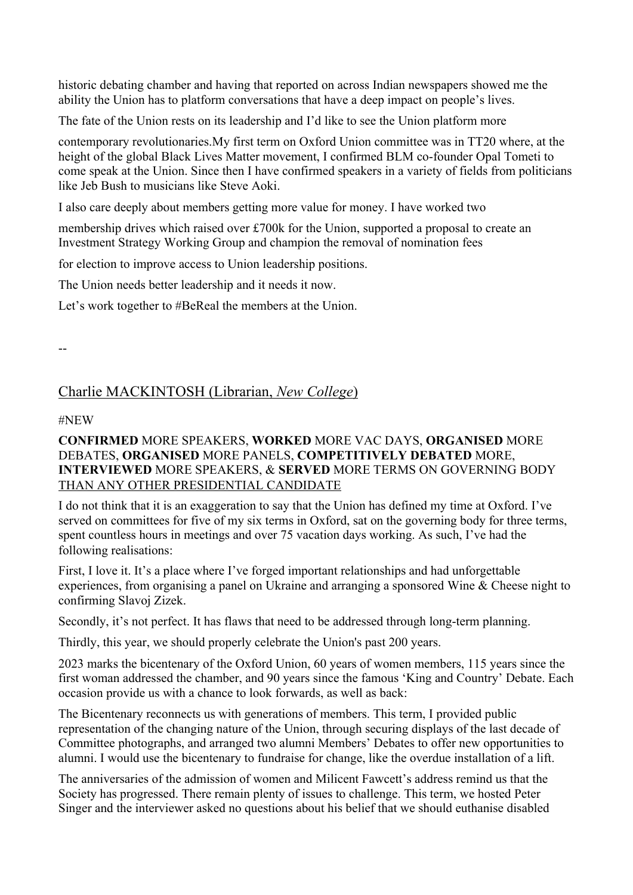historic debating chamber and having that reported on across Indian newspapers showed me the ability the Union has to platform conversations that have a deep impact on people's lives.

The fate of the Union rests on its leadership and I'd like to see the Union platform more

contemporary revolutionaries.My first term on Oxford Union committee was in TT20 where, at the height of the global Black Lives Matter movement, I confirmed BLM co-founder Opal Tometi to come speak at the Union. Since then I have confirmed speakers in a variety of fields from politicians like Jeb Bush to musicians like Steve Aoki.

I also care deeply about members getting more value for money. I have worked two

membership drives which raised over £700k for the Union, supported a proposal to create an Investment Strategy Working Group and champion the removal of nomination fees

for election to improve access to Union leadership positions.

The Union needs better leadership and it needs it now.

Let's work together to #BeReal the members at the Union.

--

## Charlie MACKINTOSH (Librarian, *New College*)

#### #NEW

#### **CONFIRMED** MORE SPEAKERS, **WORKED** MORE VAC DAYS, **ORGANISED** MORE DEBATES, **ORGANISED** MORE PANELS, **COMPETITIVELY DEBATED** MORE, **INTERVIEWED** MORE SPEAKERS, & **SERVED** MORE TERMS ON GOVERNING BODY THAN ANY OTHER PRESIDENTIAL CANDIDATE

I do not think that it is an exaggeration to say that the Union has defined my time at Oxford. I've served on committees for five of my six terms in Oxford, sat on the governing body for three terms, spent countless hours in meetings and over 75 vacation days working. As such, I've had the following realisations:

First, I love it. It's a place where I've forged important relationships and had unforgettable experiences, from organising a panel on Ukraine and arranging a sponsored Wine & Cheese night to confirming Slavoj Zizek.

Secondly, it's not perfect. It has flaws that need to be addressed through long-term planning.

Thirdly, this year, we should properly celebrate the Union's past 200 years.

2023 marks the bicentenary of the Oxford Union, 60 years of women members, 115 years since the first woman addressed the chamber, and 90 years since the famous 'King and Country' Debate. Each occasion provide us with a chance to look forwards, as well as back:

The Bicentenary reconnects us with generations of members. This term, I provided public representation of the changing nature of the Union, through securing displays of the last decade of Committee photographs, and arranged two alumni Members' Debates to offer new opportunities to alumni. I would use the bicentenary to fundraise for change, like the overdue installation of a lift.

The anniversaries of the admission of women and Milicent Fawcett's address remind us that the Society has progressed. There remain plenty of issues to challenge. This term, we hosted Peter Singer and the interviewer asked no questions about his belief that we should euthanise disabled